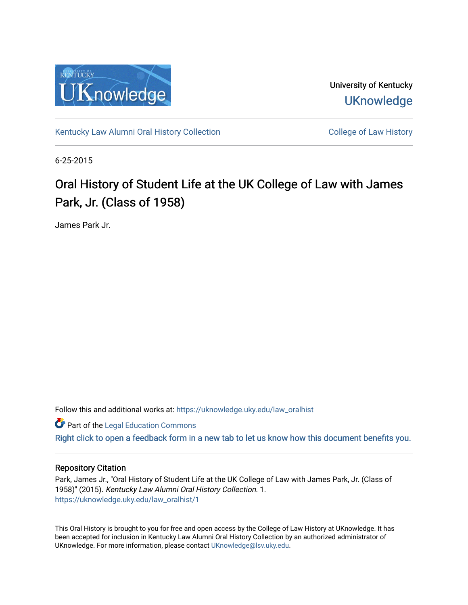

University of Kentucky **UKnowledge** 

[Kentucky Law Alumni Oral History Collection](https://uknowledge.uky.edu/law_oralhist) **College of Law History** College of Law History

6-25-2015

## Oral History of Student Life at the UK College of Law with James Park, Jr. (Class of 1958)

James Park Jr.

Follow this and additional works at: [https://uknowledge.uky.edu/law\\_oralhist](https://uknowledge.uky.edu/law_oralhist?utm_source=uknowledge.uky.edu%2Flaw_oralhist%2F1&utm_medium=PDF&utm_campaign=PDFCoverPages)

**Part of the Legal Education Commons** 

[Right click to open a feedback form in a new tab to let us know how this document benefits you.](https://uky.az1.qualtrics.com/jfe/form/SV_9mq8fx2GnONRfz7)

## Repository Citation

Park, James Jr., "Oral History of Student Life at the UK College of Law with James Park, Jr. (Class of 1958)" (2015). Kentucky Law Alumni Oral History Collection. 1. [https://uknowledge.uky.edu/law\\_oralhist/1](https://uknowledge.uky.edu/law_oralhist/1?utm_source=uknowledge.uky.edu%2Flaw_oralhist%2F1&utm_medium=PDF&utm_campaign=PDFCoverPages)

This Oral History is brought to you for free and open access by the College of Law History at UKnowledge. It has been accepted for inclusion in Kentucky Law Alumni Oral History Collection by an authorized administrator of UKnowledge. For more information, please contact [UKnowledge@lsv.uky.edu](mailto:UKnowledge@lsv.uky.edu).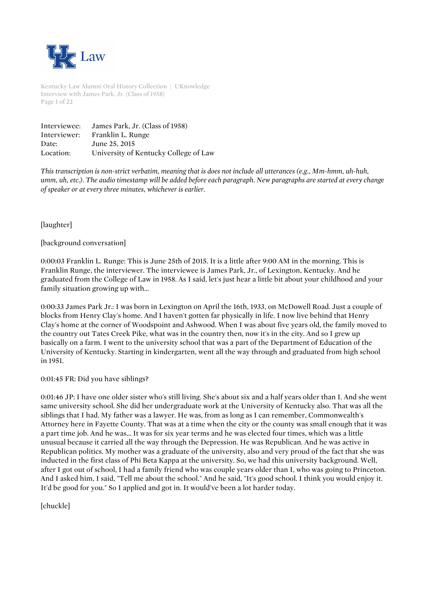

Kentucky Law Alumni Oral History Collection | UKnowledge Interview with James Park, Jr. (Class of 1958) Page 1 of 22

| Interviewee: | James Park, Jr. (Class of 1958)       |
|--------------|---------------------------------------|
| Interviewer: | Franklin L. Runge                     |
| Date:        | June 25, 2015                         |
| Location:    | University of Kentucky College of Law |

*This transcription is non-strict verbatim, meaning that is does not include all utterances (e.g., Mm-hmm, uh-huh, umm, uh, etc.). The audio timestamp will be added before each paragraph. New paragraphs are started at every change of speaker or at every three minutes, whichever is earlier.*

[laughter]

## [background conversation]

0:00:03 Franklin L. Runge: This is June 25th of 2015. It is a little after 9:00 AM in the morning. This is Franklin Runge, the interviewer. The interviewee is James Park, Jr., of Lexington, Kentucky. And he graduated from the College of Law in 1958. As I said, let's just hear a little bit about your childhood and your family situation growing up with...

0:00:33 James Park Jr.: I was born in Lexington on April the 16th, 1933, on McDowell Road. Just a couple of blocks from Henry Clay's home. And I haven't gotten far physically in life. I now live behind that Henry Clay's home at the corner of Woodspoint and Ashwood. When I was about five years old, the family moved to the country out Tates Creek Pike, what was in the country then, now it's in the city. And so I grew up basically on a farm. I went to the university school that was a part of the Department of Education of the University of Kentucky. Starting in kindergarten, went all the way through and graduated from high school in 1951.

0:01:45 FR: Did you have siblings?

0:01:46 JP: I have one older sister who's still living. She's about six and a half years older than I. And she went same university school. She did her undergraduate work at the University of Kentucky also. That was all the siblings that I had. My father was a lawyer. He was, from as long as I can remember, Commonwealth's Attorney here in Fayette County. That was at a time when the city or the county was small enough that it was a part time job. And he was... It was for six year terms and he was elected four times, which was a little unusual because it carried all the way through the Depression. He was Republican. And he was active in Republican politics. My mother was a graduate of the university, also and very proud of the fact that she was inducted in the first class of Phi Beta Kappa at the university. So, we had this university background. Well, after I got out of school, I had a family friend who was couple years older than I, who was going to Princeton. And I asked him, I said, "Tell me about the school." And he said, "It's good school. I think you would enjoy it. It'd be good for you." So I applied and got in. It would've been a lot harder today.

[chuckle]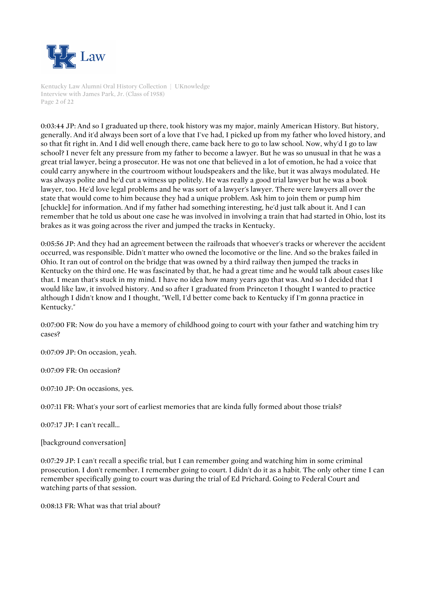

Kentucky Law Alumni Oral History Collection | UKnowledge Interview with James Park, Jr. (Class of 1958) Page 2 of 22

0:03:44 JP: And so I graduated up there, took history was my major, mainly American History. But history, generally. And it'd always been sort of a love that I've had, I picked up from my father who loved history, and so that fit right in. And I did well enough there, came back here to go to law school. Now, why'd I go to law school? I never felt any pressure from my father to become a lawyer. But he was so unusual in that he was a great trial lawyer, being a prosecutor. He was not one that believed in a lot of emotion, he had a voice that could carry anywhere in the courtroom without loudspeakers and the like, but it was always modulated. He was always polite and he'd cut a witness up politely. He was really a good trial lawyer but he was a book lawyer, too. He'd love legal problems and he was sort of a lawyer's lawyer. There were lawyers all over the state that would come to him because they had a unique problem. Ask him to join them or pump him [chuckle] for information. And if my father had something interesting, he'd just talk about it. And I can remember that he told us about one case he was involved in involving a train that had started in Ohio, lost its brakes as it was going across the river and jumped the tracks in Kentucky.

0:05:56 JP: And they had an agreement between the railroads that whoever's tracks or wherever the accident occurred, was responsible. Didn't matter who owned the locomotive or the line. And so the brakes failed in Ohio. It ran out of control on the bridge that was owned by a third railway then jumped the tracks in Kentucky on the third one. He was fascinated by that, he had a great time and he would talk about cases like that. I mean that's stuck in my mind. I have no idea how many years ago that was. And so I decided that I would like law, it involved history. And so after I graduated from Princeton I thought I wanted to practice although I didn't know and I thought, "Well, I'd better come back to Kentucky if I'm gonna practice in Kentucky."

0:07:00 FR: Now do you have a memory of childhood going to court with your father and watching him try cases?

0:07:09 JP: On occasion, yeah.

0:07:09 FR: On occasion?

0:07:10 JP: On occasions, yes.

0:07:11 FR: What's your sort of earliest memories that are kinda fully formed about those trials?

0:07:17 JP: I can't recall...

[background conversation]

0:07:29 JP: I can't recall a specific trial, but I can remember going and watching him in some criminal prosecution. I don't remember. I remember going to court. I didn't do it as a habit. The only other time I can remember specifically going to court was during the trial of Ed Prichard. Going to Federal Court and watching parts of that session.

0:08:13 FR: What was that trial about?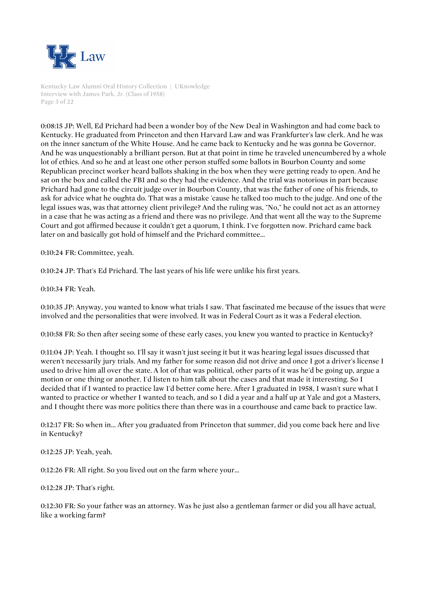

Kentucky Law Alumni Oral History Collection | UKnowledge Interview with James Park, Jr. (Class of 1958) Page 3 of 22

0:08:15 JP: Well, Ed Prichard had been a wonder boy of the New Deal in Washington and had come back to Kentucky. He graduated from Princeton and then Harvard Law and was Frankfurter's law clerk. And he was on the inner sanctum of the White House. And he came back to Kentucky and he was gonna be Governor. And he was unquestionably a brilliant person. But at that point in time he traveled unencumbered by a whole lot of ethics. And so he and at least one other person stuffed some ballots in Bourbon County and some Republican precinct worker heard ballots shaking in the box when they were getting ready to open. And he sat on the box and called the FBI and so they had the evidence. And the trial was notorious in part because Prichard had gone to the circuit judge over in Bourbon County, that was the father of one of his friends, to ask for advice what he oughta do. That was a mistake 'cause he talked too much to the judge. And one of the legal issues was, was that attorney client privilege? And the ruling was, "No," he could not act as an attorney in a case that he was acting as a friend and there was no privilege. And that went all the way to the Supreme Court and got affirmed because it couldn't get a quorum, I think. I've forgotten now. Prichard came back later on and basically got hold of himself and the Prichard committee...

0:10:24 FR: Committee, yeah.

0:10:24 JP: That's Ed Prichard. The last years of his life were unlike his first years.

0:10:34 FR: Yeah.

0:10:35 JP: Anyway, you wanted to know what trials I saw. That fascinated me because of the issues that were involved and the personalities that were involved. It was in Federal Court as it was a Federal election.

0:10:58 FR: So then after seeing some of these early cases, you knew you wanted to practice in Kentucky?

0:11:04 JP: Yeah. I thought so. I'll say it wasn't just seeing it but it was hearing legal issues discussed that weren't necessarily jury trials. And my father for some reason did not drive and once I got a driver's license I used to drive him all over the state. A lot of that was political, other parts of it was he'd be going up, argue a motion or one thing or another. I'd listen to him talk about the cases and that made it interesting. So I decided that if I wanted to practice law I'd better come here. After I graduated in 1958, I wasn't sure what I wanted to practice or whether I wanted to teach, and so I did a year and a half up at Yale and got a Masters, and I thought there was more politics there than there was in a courthouse and came back to practice law.

0:12:17 FR: So when in... After you graduated from Princeton that summer, did you come back here and live in Kentucky?

0:12:25 JP: Yeah, yeah.

0:12:26 FR: All right. So you lived out on the farm where your...

0:12:28 JP: That's right.

0:12:30 FR: So your father was an attorney. Was he just also a gentleman farmer or did you all have actual, like a working farm?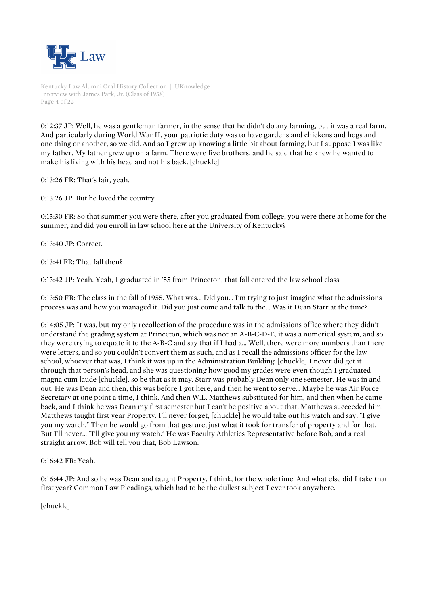

Kentucky Law Alumni Oral History Collection | UKnowledge Interview with James Park, Jr. (Class of 1958) Page 4 of 22

0:12:37 JP: Well, he was a gentleman farmer, in the sense that he didn't do any farming, but it was a real farm. And particularly during World War II, your patriotic duty was to have gardens and chickens and hogs and one thing or another, so we did. And so I grew up knowing a little bit about farming, but I suppose I was like my father. My father grew up on a farm. There were five brothers, and he said that he knew he wanted to make his living with his head and not his back. [chuckle]

0:13:26 FR: That's fair, yeah.

0:13:26 JP: But he loved the country.

0:13:30 FR: So that summer you were there, after you graduated from college, you were there at home for the summer, and did you enroll in law school here at the University of Kentucky?

0:13:40 JP: Correct.

0:13:41 FR: That fall then?

0:13:42 JP: Yeah. Yeah, I graduated in '55 from Princeton, that fall entered the law school class.

0:13:50 FR: The class in the fall of 1955. What was... Did you... I'm trying to just imagine what the admissions process was and how you managed it. Did you just come and talk to the... Was it Dean Starr at the time?

0:14:05 JP: It was, but my only recollection of the procedure was in the admissions office where they didn't understand the grading system at Princeton, which was not an A-B-C-D-E, it was a numerical system, and so they were trying to equate it to the A-B-C and say that if I had a... Well, there were more numbers than there were letters, and so you couldn't convert them as such, and as I recall the admissions officer for the law school, whoever that was, I think it was up in the Administration Building. [chuckle] I never did get it through that person's head, and she was questioning how good my grades were even though I graduated magna cum laude [chuckle], so be that as it may. Starr was probably Dean only one semester. He was in and out. He was Dean and then, this was before I got here, and then he went to serve... Maybe he was Air Force Secretary at one point a time, I think. And then W.L. Matthews substituted for him, and then when he came back, and I think he was Dean my first semester but I can't be positive about that, Matthews succeeded him. Matthews taught first year Property. I'll never forget, [chuckle] he would take out his watch and say, "I give you my watch." Then he would go from that gesture, just what it took for transfer of property and for that. But I'll never... "I'll give you my watch." He was Faculty Athletics Representative before Bob, and a real straight arrow. Bob will tell you that, Bob Lawson.

0:16:42 FR: Yeah.

0:16:44 JP: And so he was Dean and taught Property, I think, for the whole time. And what else did I take that first year? Common Law Pleadings, which had to be the dullest subject I ever took anywhere.

[chuckle]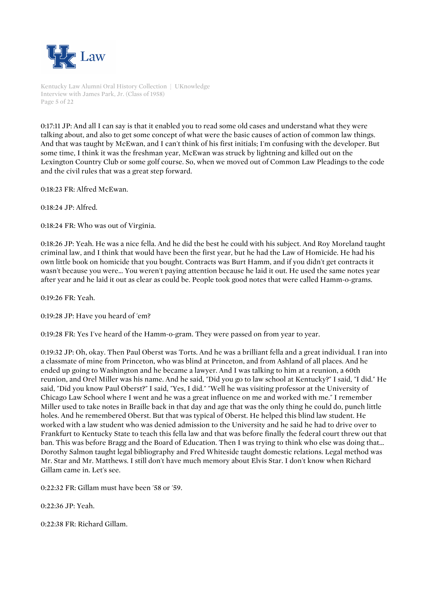

Kentucky Law Alumni Oral History Collection | UKnowledge Interview with James Park, Jr. (Class of 1958) Page 5 of 22

0:17:11 JP: And all I can say is that it enabled you to read some old cases and understand what they were talking about, and also to get some concept of what were the basic causes of action of common law things. And that was taught by McEwan, and I can't think of his first initials; I'm confusing with the developer. But some time, I think it was the freshman year, McEwan was struck by lightning and killed out on the Lexington Country Club or some golf course. So, when we moved out of Common Law Pleadings to the code and the civil rules that was a great step forward.

0:18:23 FR: Alfred McEwan.

0:18:24 JP: Alfred.

0:18:24 FR: Who was out of Virginia.

0:18:26 JP: Yeah. He was a nice fella. And he did the best he could with his subject. And Roy Moreland taught criminal law, and I think that would have been the first year, but he had the Law of Homicide. He had his own little book on homicide that you bought. Contracts was Burt Hamm, and if you didn't get contracts it wasn't because you were... You weren't paying attention because he laid it out. He used the same notes year after year and he laid it out as clear as could be. People took good notes that were called Hamm-o-grams.

0:19:26 FR: Yeah.

0:19:28 JP: Have you heard of 'em?

0:19:28 FR: Yes I've heard of the Hamm-o-gram. They were passed on from year to year.

0:19:32 JP: Oh, okay. Then Paul Oberst was Torts. And he was a brilliant fella and a great individual. I ran into a classmate of mine from Princeton, who was blind at Princeton, and from Ashland of all places. And he ended up going to Washington and he became a lawyer. And I was talking to him at a reunion, a 60th reunion, and Orel Miller was his name. And he said, "Did you go to law school at Kentucky?" I said, "I did." He said, "Did you know Paul Oberst?" I said, "Yes, I did." "Well he was visiting professor at the University of Chicago Law School where I went and he was a great influence on me and worked with me." I remember Miller used to take notes in Braille back in that day and age that was the only thing he could do, punch little holes. And he remembered Oberst. But that was typical of Oberst. He helped this blind law student. He worked with a law student who was denied admission to the University and he said he had to drive over to Frankfurt to Kentucky State to teach this fella law and that was before finally the federal court threw out that ban. This was before Bragg and the Board of Education. Then I was trying to think who else was doing that... Dorothy Salmon taught legal bibliography and Fred Whiteside taught domestic relations. Legal method was Mr. Star and Mr. Matthews. I still don't have much memory about Elvis Star. I don't know when Richard Gillam came in. Let's see.

0:22:32 FR: Gillam must have been '58 or '59.

0:22:36 JP: Yeah.

0:22:38 FR: Richard Gillam.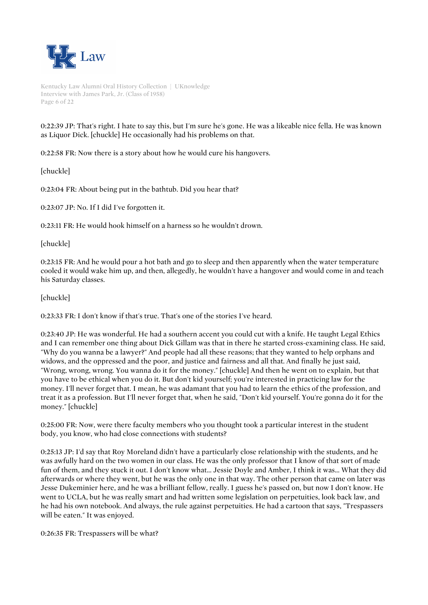

Kentucky Law Alumni Oral History Collection | UKnowledge Interview with James Park, Jr. (Class of 1958) Page 6 of 22

0:22:39 JP: That's right. I hate to say this, but I'm sure he's gone. He was a likeable nice fella. He was known as Liquor Dick. [chuckle] He occasionally had his problems on that.

0:22:58 FR: Now there is a story about how he would cure his hangovers.

[chuckle]

0:23:04 FR: About being put in the bathtub. Did you hear that?

0:23:07 JP: No. If I did I've forgotten it.

0:23:11 FR: He would hook himself on a harness so he wouldn't drown.

[chuckle]

0:23:15 FR: And he would pour a hot bath and go to sleep and then apparently when the water temperature cooled it would wake him up, and then, allegedly, he wouldn't have a hangover and would come in and teach his Saturday classes.

[chuckle]

0:23:33 FR: I don't know if that's true. That's one of the stories I've heard.

0:23:40 JP: He was wonderful. He had a southern accent you could cut with a knife. He taught Legal Ethics and I can remember one thing about Dick Gillam was that in there he started cross-examining class. He said, "Why do you wanna be a lawyer?" And people had all these reasons; that they wanted to help orphans and widows, and the oppressed and the poor, and justice and fairness and all that. And finally he just said, "Wrong, wrong, wrong. You wanna do it for the money." [chuckle] And then he went on to explain, but that you have to be ethical when you do it. But don't kid yourself; you're interested in practicing law for the money. I'll never forget that. I mean, he was adamant that you had to learn the ethics of the profession, and treat it as a profession. But I'll never forget that, when he said, "Don't kid yourself. You're gonna do it for the money." [chuckle]

0:25:00 FR: Now, were there faculty members who you thought took a particular interest in the student body, you know, who had close connections with students?

0:25:13 JP: I'd say that Roy Moreland didn't have a particularly close relationship with the students, and he was awfully hard on the two women in our class. He was the only professor that I know of that sort of made fun of them, and they stuck it out. I don't know what... Jessie Doyle and Amber, I think it was... What they did afterwards or where they went, but he was the only one in that way. The other person that came on later was Jesse Dukeminier here, and he was a brilliant fellow, really. I guess he's passed on, but now I don't know. He went to UCLA, but he was really smart and had written some legislation on perpetuities, look back law, and he had his own notebook. And always, the rule against perpetuities. He had a cartoon that says, "Trespassers will be eaten." It was enjoyed.

0:26:35 FR: Trespassers will be what?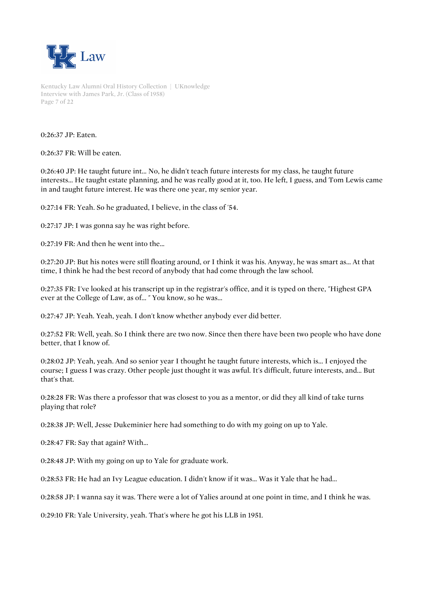

Kentucky Law Alumni Oral History Collection | UKnowledge Interview with James Park, Jr. (Class of 1958) Page 7 of 22

0:26:37 JP: Eaten.

0:26:37 FR: Will be eaten.

0:26:40 JP: He taught future int... No, he didn't teach future interests for my class, he taught future interests... He taught estate planning, and he was really good at it, too. He left, I guess, and Tom Lewis came in and taught future interest. He was there one year, my senior year.

0:27:14 FR: Yeah. So he graduated, I believe, in the class of '54.

0:27:17 JP: I was gonna say he was right before.

0:27:19 FR: And then he went into the...

0:27:20 JP: But his notes were still floating around, or I think it was his. Anyway, he was smart as... At that time, I think he had the best record of anybody that had come through the law school.

0:27:35 FR: I've looked at his transcript up in the registrar's office, and it is typed on there, "Highest GPA ever at the College of Law, as of... " You know, so he was...

0:27:47 JP: Yeah. Yeah, yeah. I don't know whether anybody ever did better.

0:27:52 FR: Well, yeah. So I think there are two now. Since then there have been two people who have done better, that I know of.

0:28:02 JP: Yeah, yeah. And so senior year I thought he taught future interests, which is... I enjoyed the course; I guess I was crazy. Other people just thought it was awful. It's difficult, future interests, and... But that's that.

0:28:28 FR: Was there a professor that was closest to you as a mentor, or did they all kind of take turns playing that role?

0:28:38 JP: Well, Jesse Dukeminier here had something to do with my going on up to Yale.

0:28:47 FR: Say that again? With...

0:28:48 JP: With my going on up to Yale for graduate work.

0:28:53 FR: He had an Ivy League education. I didn't know if it was... Was it Yale that he had...

0:28:58 JP: I wanna say it was. There were a lot of Yalies around at one point in time, and I think he was.

0:29:10 FR: Yale University, yeah. That's where he got his LLB in 1951.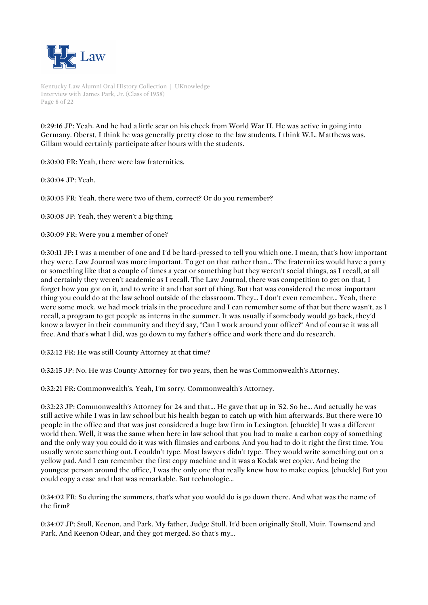

Kentucky Law Alumni Oral History Collection | UKnowledge Interview with James Park, Jr. (Class of 1958) Page 8 of 22

0:29:16 JP: Yeah. And he had a little scar on his cheek from World War II. He was active in going into Germany. Oberst, I think he was generally pretty close to the law students. I think W.L. Matthews was. Gillam would certainly participate after hours with the students.

0:30:00 FR: Yeah, there were law fraternities.

0:30:04 JP: Yeah.

0:30:05 FR: Yeah, there were two of them, correct? Or do you remember?

0:30:08 JP: Yeah, they weren't a big thing.

0:30:09 FR: Were you a member of one?

0:30:11 JP: I was a member of one and I'd be hard-pressed to tell you which one. I mean, that's how important they were. Law Journal was more important. To get on that rather than... The fraternities would have a party or something like that a couple of times a year or something but they weren't social things, as I recall, at all and certainly they weren't academic as I recall. The Law Journal, there was competition to get on that, I forget how you got on it, and to write it and that sort of thing. But that was considered the most important thing you could do at the law school outside of the classroom. They... I don't even remember... Yeah, there were some mock, we had mock trials in the procedure and I can remember some of that but there wasn't, as I recall, a program to get people as interns in the summer. It was usually if somebody would go back, they'd know a lawyer in their community and they'd say, "Can I work around your office?" And of course it was all free. And that's what I did, was go down to my father's office and work there and do research.

0:32:12 FR: He was still County Attorney at that time?

0:32:15 JP: No. He was County Attorney for two years, then he was Commonwealth's Attorney.

0:32:21 FR: Commonwealth's. Yeah, I'm sorry. Commonwealth's Attorney.

0:32:23 JP: Commonwealth's Attorney for 24 and that... He gave that up in '52. So he... And actually he was still active while I was in law school but his health began to catch up with him afterwards. But there were 10 people in the office and that was just considered a huge law firm in Lexington. [chuckle] It was a different world then. Well, it was the same when here in law school that you had to make a carbon copy of something and the only way you could do it was with flimsies and carbons. And you had to do it right the first time. You usually wrote something out. I couldn't type. Most lawyers didn't type. They would write something out on a yellow pad. And I can remember the first copy machine and it was a Kodak wet copier. And being the youngest person around the office, I was the only one that really knew how to make copies. [chuckle] But you could copy a case and that was remarkable. But technologic...

0:34:02 FR: So during the summers, that's what you would do is go down there. And what was the name of the firm?

0:34:07 JP: Stoll, Keenon, and Park. My father, Judge Stoll. It'd been originally Stoll, Muir, Townsend and Park. And Keenon Odear, and they got merged. So that's my...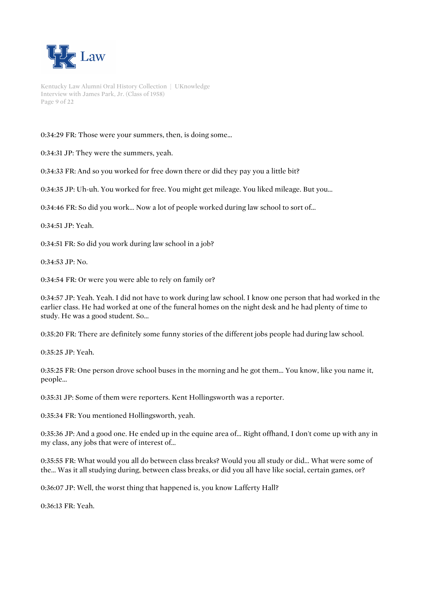

Kentucky Law Alumni Oral History Collection | UKnowledge Interview with James Park, Jr. (Class of 1958) Page 9 of 22

0:34:29 FR: Those were your summers, then, is doing some...

0:34:31 JP: They were the summers, yeah.

0:34:33 FR: And so you worked for free down there or did they pay you a little bit?

0:34:35 JP: Uh-uh. You worked for free. You might get mileage. You liked mileage. But you...

0:34:46 FR: So did you work... Now a lot of people worked during law school to sort of...

0:34:51 JP: Yeah.

0:34:51 FR: So did you work during law school in a job?

0:34:53 JP: No.

0:34:54 FR: Or were you were able to rely on family or?

0:34:57 JP: Yeah. Yeah. I did not have to work during law school. I know one person that had worked in the earlier class. He had worked at one of the funeral homes on the night desk and he had plenty of time to study. He was a good student. So...

0:35:20 FR: There are definitely some funny stories of the different jobs people had during law school.

0:35:25 JP: Yeah.

0:35:25 FR: One person drove school buses in the morning and he got them... You know, like you name it, people...

0:35:31 JP: Some of them were reporters. Kent Hollingsworth was a reporter.

0:35:34 FR: You mentioned Hollingsworth, yeah.

0:35:36 JP: And a good one. He ended up in the equine area of... Right offhand, I don't come up with any in my class, any jobs that were of interest of...

0:35:55 FR: What would you all do between class breaks? Would you all study or did... What were some of the... Was it all studying during, between class breaks, or did you all have like social, certain games, or?

0:36:07 JP: Well, the worst thing that happened is, you know Lafferty Hall?

0:36:13 FR: Yeah.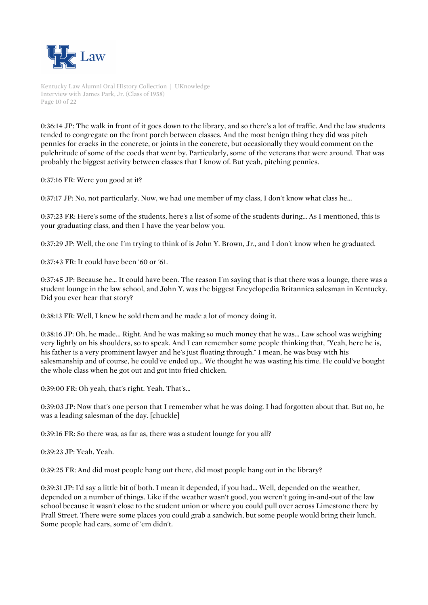

Kentucky Law Alumni Oral History Collection | UKnowledge Interview with James Park, Jr. (Class of 1958) Page 10 of 22

0:36:14 JP: The walk in front of it goes down to the library, and so there's a lot of traffic. And the law students tended to congregate on the front porch between classes. And the most benign thing they did was pitch pennies for cracks in the concrete, or joints in the concrete, but occasionally they would comment on the pulchritude of some of the coeds that went by. Particularly, some of the veterans that were around. That was probably the biggest activity between classes that I know of. But yeah, pitching pennies.

0:37:16 FR: Were you good at it?

0:37:17 JP: No, not particularly. Now, we had one member of my class, I don't know what class he...

0:37:23 FR: Here's some of the students, here's a list of some of the students during... As I mentioned, this is your graduating class, and then I have the year below you.

0:37:29 JP: Well, the one I'm trying to think of is John Y. Brown, Jr., and I don't know when he graduated.

0:37:43 FR: It could have been '60 or '61.

0:37:45 JP: Because he... It could have been. The reason I'm saying that is that there was a lounge, there was a student lounge in the law school, and John Y. was the biggest Encyclopedia Britannica salesman in Kentucky. Did you ever hear that story?

0:38:13 FR: Well, I knew he sold them and he made a lot of money doing it.

0:38:16 JP: Oh, he made... Right. And he was making so much money that he was... Law school was weighing very lightly on his shoulders, so to speak. And I can remember some people thinking that, "Yeah, here he is, his father is a very prominent lawyer and he's just floating through." I mean, he was busy with his salesmanship and of course, he could've ended up... We thought he was wasting his time. He could've bought the whole class when he got out and got into fried chicken.

0:39:00 FR: Oh yeah, that's right. Yeah. That's...

0:39:03 JP: Now that's one person that I remember what he was doing. I had forgotten about that. But no, he was a leading salesman of the day. [chuckle]

0:39:16 FR: So there was, as far as, there was a student lounge for you all?

0:39:23 JP: Yeah. Yeah.

0:39:25 FR: And did most people hang out there, did most people hang out in the library?

0:39:31 JP: I'd say a little bit of both. I mean it depended, if you had... Well, depended on the weather, depended on a number of things. Like if the weather wasn't good, you weren't going in-and-out of the law school because it wasn't close to the student union or where you could pull over across Limestone there by Prall Street. There were some places you could grab a sandwich, but some people would bring their lunch. Some people had cars, some of 'em didn't.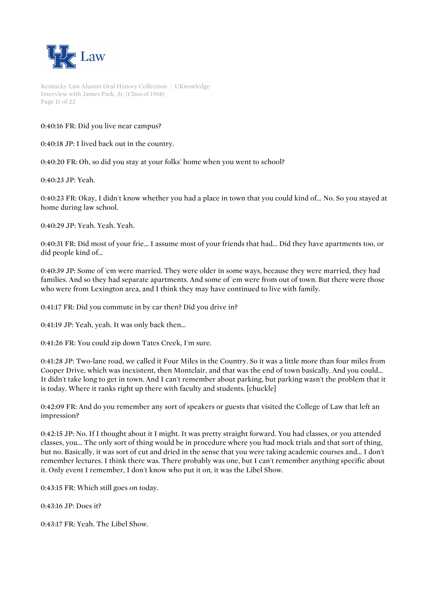

Kentucky Law Alumni Oral History Collection | UKnowledge Interview with James Park, Jr. (Class of 1958) Page 11 of 22

0:40:16 FR: Did you live near campus?

0:40:18 JP: I lived back out in the country.

0:40:20 FR: Oh, so did you stay at your folks' home when you went to school?

0:40:23 JP: Yeah.

0:40:23 FR: Okay, I didn't know whether you had a place in town that you could kind of... No. So you stayed at home during law school.

0:40:29 JP: Yeah. Yeah. Yeah.

0:40:31 FR: Did most of your frie... I assume most of your friends that had... Did they have apartments too, or did people kind of...

0:40:39 JP: Some of 'em were married. They were older in some ways, because they were married, they had families. And so they had separate apartments. And some of 'em were from out of town. But there were those who were from Lexington area, and I think they may have continued to live with family.

0:41:17 FR: Did you commute in by car then? Did you drive in?

0:41:19 JP: Yeah, yeah. It was only back then...

0:41:26 FR: You could zip down Tates Creek, I'm sure.

0:41:28 JP: Two-lane road, we called it Four Miles in the Country. So it was a little more than four miles from Cooper Drive, which was inexistent, then Montclair, and that was the end of town basically. And you could... It didn't take long to get in town. And I can't remember about parking, but parking wasn't the problem that it is today. Where it ranks right up there with faculty and students. [chuckle]

0:42:09 FR: And do you remember any sort of speakers or guests that visited the College of Law that left an impression?

0:42:15 JP: No. If I thought about it I might. It was pretty straight forward. You had classes, or you attended classes, you... The only sort of thing would be in procedure where you had mock trials and that sort of thing, but no. Basically, it was sort of cut and dried in the sense that you were taking academic courses and... I don't remember lectures. I think there was. There probably was one, but I can't remember anything specific about it. Only event I remember, I don't know who put it on, it was the Libel Show.

0:43:15 FR: Which still goes on today.

0:43:16 JP: Does it?

0:43:17 FR: Yeah. The Libel Show.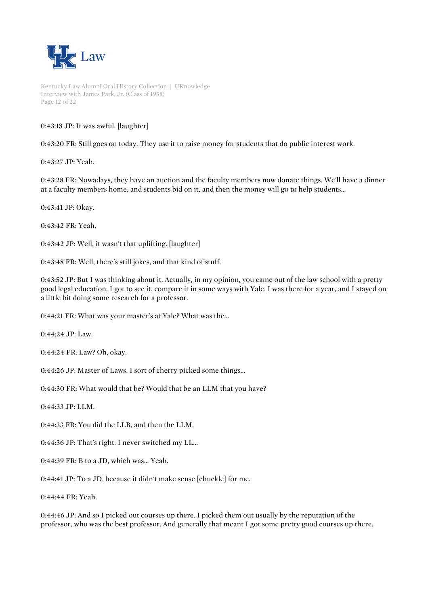

Kentucky Law Alumni Oral History Collection | UKnowledge Interview with James Park, Jr. (Class of 1958) Page 12 of 22

0:43:18 JP: It was awful. [laughter]

0:43:20 FR: Still goes on today. They use it to raise money for students that do public interest work.

0:43:27 JP: Yeah.

0:43:28 FR: Nowadays, they have an auction and the faculty members now donate things. We'll have a dinner at a faculty members home, and students bid on it, and then the money will go to help students...

0:43:41 JP: Okay.

0:43:42 FR: Yeah.

0:43:42 JP: Well, it wasn't that uplifting. [laughter]

0:43:48 FR: Well, there's still jokes, and that kind of stuff.

0:43:52 JP: But I was thinking about it. Actually, in my opinion, you came out of the law school with a pretty good legal education. I got to see it, compare it in some ways with Yale. I was there for a year, and I stayed on a little bit doing some research for a professor.

0:44:21 FR: What was your master's at Yale? What was the...

0:44:24 JP: Law.

0:44:24 FR: Law? Oh, okay.

0:44:26 JP: Master of Laws. I sort of cherry picked some things...

0:44:30 FR: What would that be? Would that be an LLM that you have?

0:44:33 JP: LLM.

0:44:33 FR: You did the LLB, and then the LLM.

0:44:36 JP: That's right. I never switched my LL...

0:44:39 FR: B to a JD, which was... Yeah.

0:44:41 JP: To a JD, because it didn't make sense [chuckle] for me.

0:44:44 FR: Yeah.

0:44:46 JP: And so I picked out courses up there. I picked them out usually by the reputation of the professor, who was the best professor. And generally that meant I got some pretty good courses up there.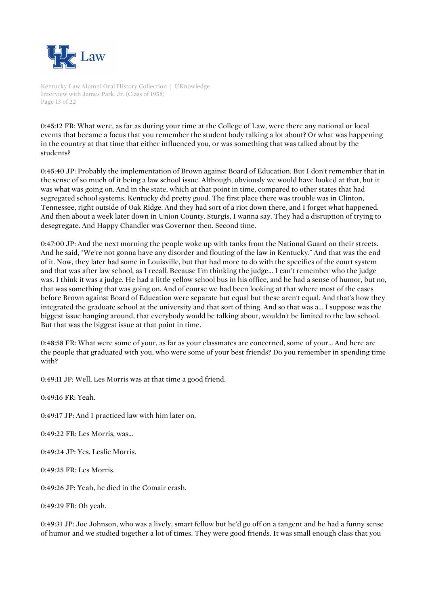

Kentucky Law Alumni Oral History Collection | UKnowledge Interview with James Park, Jr. (Class of 1958) Page 13 of 22

0:45:12 FR: What were, as far as during your time at the College of Law, were there any national or local events that became a focus that you remember the student body talking a lot about? Or what was happening in the country at that time that either influenced you, or was something that was talked about by the students?

0:45:40 JP: Probably the implementation of Brown against Board of Education. But I don't remember that in the sense of so much of it being a law school issue. Although, obviously we would have looked at that, but it was what was going on. And in the state, which at that point in time, compared to other states that had segregated school systems, Kentucky did pretty good. The first place there was trouble was in Clinton, Tennessee, right outside of Oak Ridge. And they had sort of a riot down there, and I forget what happened. And then about a week later down in Union County. Sturgis, I wanna say. They had a disruption of trying to desegregate. And Happy Chandler was Governor then. Second time.

0:47:00 JP: And the next morning the people woke up with tanks from the National Guard on their streets. And he said, "We're not gonna have any disorder and flouting of the law in Kentucky." And that was the end of it. Now, they later had some in Louisville, but that had more to do with the specifics of the court system and that was after law school, as I recall. Because I'm thinking the judge... I can't remember who the judge was. I think it was a judge. He had a little yellow school bus in his office, and he had a sense of humor, but no, that was something that was going on. And of course we had been looking at that where most of the cases before Brown against Board of Education were separate but equal but these aren't equal. And that's how they integrated the graduate school at the university and that sort of thing. And so that was a... I suppose was the biggest issue hanging around, that everybody would be talking about, wouldn't be limited to the law school. But that was the biggest issue at that point in time.

0:48:58 FR: What were some of your, as far as your classmates are concerned, some of your... And here are the people that graduated with you, who were some of your best friends? Do you remember in spending time with?

0:49:11 JP: Well, Les Morris was at that time a good friend.

0:49:16 FR: Yeah.

0:49:17 JP: And I practiced law with him later on.

0:49:22 FR: Les Morris, was...

0:49:24 JP: Yes. Leslie Morris.

0:49:25 FR: Les Morris.

0:49:26 JP: Yeah, he died in the Comair crash.

0:49:29 FR: Oh yeah.

0:49:31 JP: Joe Johnson, who was a lively, smart fellow but he'd go off on a tangent and he had a funny sense of humor and we studied together a lot of times. They were good friends. It was small enough class that you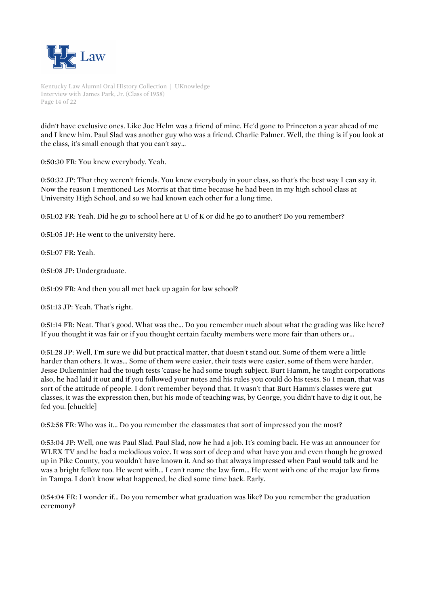

Kentucky Law Alumni Oral History Collection | UKnowledge Interview with James Park, Jr. (Class of 1958) Page 14 of 22

didn't have exclusive ones. Like Joe Helm was a friend of mine. He'd gone to Princeton a year ahead of me and I knew him. Paul Slad was another guy who was a friend. Charlie Palmer. Well, the thing is if you look at the class, it's small enough that you can't say...

0:50:30 FR: You knew everybody. Yeah.

0:50:32 JP: That they weren't friends. You knew everybody in your class, so that's the best way I can say it. Now the reason I mentioned Les Morris at that time because he had been in my high school class at University High School, and so we had known each other for a long time.

0:51:02 FR: Yeah. Did he go to school here at U of K or did he go to another? Do you remember?

0:51:05 JP: He went to the university here.

0:51:07 FR: Yeah.

0:51:08 JP: Undergraduate.

0:51:09 FR: And then you all met back up again for law school?

0:51:13 JP: Yeah. That's right.

0:51:14 FR: Neat. That's good. What was the... Do you remember much about what the grading was like here? If you thought it was fair or if you thought certain faculty members were more fair than others or...

0:51:28 JP: Well, I'm sure we did but practical matter, that doesn't stand out. Some of them were a little harder than others. It was... Some of them were easier, their tests were easier, some of them were harder. Jesse Dukeminier had the tough tests 'cause he had some tough subject. Burt Hamm, he taught corporations also, he had laid it out and if you followed your notes and his rules you could do his tests. So I mean, that was sort of the attitude of people. I don't remember beyond that. It wasn't that Burt Hamm's classes were gut classes, it was the expression then, but his mode of teaching was, by George, you didn't have to dig it out, he fed you. [chuckle]

0:52:58 FR: Who was it... Do you remember the classmates that sort of impressed you the most?

0:53:04 JP: Well, one was Paul Slad. Paul Slad, now he had a job. It's coming back. He was an announcer for WLEX TV and he had a melodious voice. It was sort of deep and what have you and even though he growed up in Pike County, you wouldn't have known it. And so that always impressed when Paul would talk and he was a bright fellow too. He went with... I can't name the law firm... He went with one of the major law firms in Tampa. I don't know what happened, he died some time back. Early.

0:54:04 FR: I wonder if... Do you remember what graduation was like? Do you remember the graduation ceremony?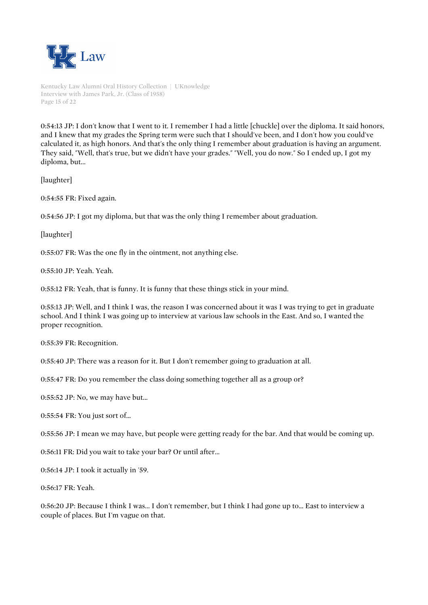

Kentucky Law Alumni Oral History Collection | UKnowledge Interview with James Park, Jr. (Class of 1958) Page 15 of 22

0:54:13 JP: I don't know that I went to it. I remember I had a little [chuckle] over the diploma. It said honors, and I knew that my grades the Spring term were such that I should've been, and I don't how you could've calculated it, as high honors. And that's the only thing I remember about graduation is having an argument. They said, "Well, that's true, but we didn't have your grades." "Well, you do now." So I ended up, I got my diploma, but...

[laughter]

0:54:55 FR: Fixed again.

0:54:56 JP: I got my diploma, but that was the only thing I remember about graduation.

[laughter]

0:55:07 FR: Was the one fly in the ointment, not anything else.

0:55:10 JP: Yeah. Yeah.

0:55:12 FR: Yeah, that is funny. It is funny that these things stick in your mind.

0:55:13 JP: Well, and I think I was, the reason I was concerned about it was I was trying to get in graduate school. And I think I was going up to interview at various law schools in the East. And so, I wanted the proper recognition.

0:55:39 FR: Recognition.

0:55:40 JP: There was a reason for it. But I don't remember going to graduation at all.

0:55:47 FR: Do you remember the class doing something together all as a group or?

0:55:52 JP: No, we may have but...

0:55:54 FR: You just sort of...

0:55:56 JP: I mean we may have, but people were getting ready for the bar. And that would be coming up.

0:56:11 FR: Did you wait to take your bar? Or until after...

0:56:14 JP: I took it actually in '59.

0:56:17 FR: Yeah.

0:56:20 JP: Because I think I was... I don't remember, but I think I had gone up to... East to interview a couple of places. But I'm vague on that.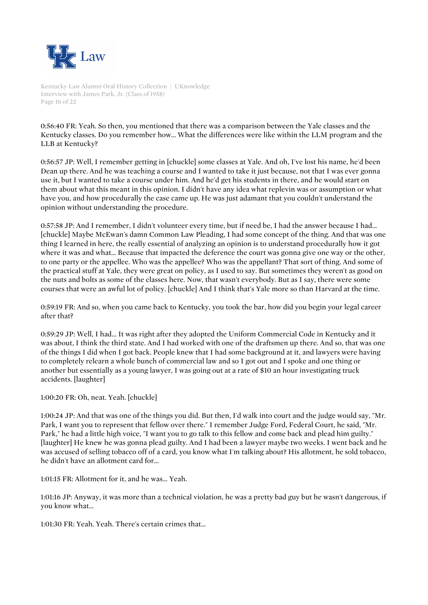

Kentucky Law Alumni Oral History Collection | UKnowledge Interview with James Park, Jr. (Class of 1958) Page 16 of 22

0:56:40 FR: Yeah. So then, you mentioned that there was a comparison between the Yale classes and the Kentucky classes. Do you remember how... What the differences were like within the LLM program and the LLB at Kentucky?

0:56:57 JP: Well, I remember getting in [chuckle] some classes at Yale. And oh, I've lost his name, he'd been Dean up there. And he was teaching a course and I wanted to take it just because, not that I was ever gonna use it, but I wanted to take a course under him. And he'd get his students in there, and he would start on them about what this meant in this opinion. I didn't have any idea what replevin was or assumption or what have you, and how procedurally the case came up. He was just adamant that you couldn't understand the opinion without understanding the procedure.

0:57:58 JP: And I remember, I didn't volunteer every time, but if need be, I had the answer because I had... [chuckle] Maybe McEwan's damn Common Law Pleading, I had some concept of the thing. And that was one thing I learned in here, the really essential of analyzing an opinion is to understand procedurally how it got where it was and what... Because that impacted the deference the court was gonna give one way or the other, to one party or the appellee. Who was the appellee? Who was the appellant? That sort of thing. And some of the practical stuff at Yale, they were great on policy, as I used to say. But sometimes they weren't as good on the nuts and bolts as some of the classes here. Now, that wasn't everybody. But as I say, there were some courses that were an awful lot of policy. [chuckle] And I think that's Yale more so than Harvard at the time.

0:59:19 FR: And so, when you came back to Kentucky, you took the bar, how did you begin your legal career after that?

0:59:29 JP: Well, I had... It was right after they adopted the Uniform Commercial Code in Kentucky and it was about, I think the third state. And I had worked with one of the draftsmen up there. And so, that was one of the things I did when I got back. People knew that I had some background at it, and lawyers were having to completely relearn a whole bunch of commercial law and so I got out and I spoke and one thing or another but essentially as a young lawyer, I was going out at a rate of \$10 an hour investigating truck accidents. [laughter]

1:00:20 FR: Oh, neat. Yeah. [chuckle]

1:00:24 JP: And that was one of the things you did. But then, I'd walk into court and the judge would say, "Mr. Park, I want you to represent that fellow over there." I remember Judge Ford, Federal Court, he said, "Mr. Park," he had a little high voice, "I want you to go talk to this fellow and come back and plead him guilty." [laughter] He knew he was gonna plead guilty. And I had been a lawyer maybe two weeks. I went back and he was accused of selling tobacco off of a card, you know what I'm talking about? His allotment, he sold tobacco, he didn't have an allotment card for...

1:01:15 FR: Allotment for it, and he was... Yeah.

1:01:16 JP: Anyway, it was more than a technical violation, he was a pretty bad guy but he wasn't dangerous, if you know what...

1:01:30 FR: Yeah. Yeah. There's certain crimes that...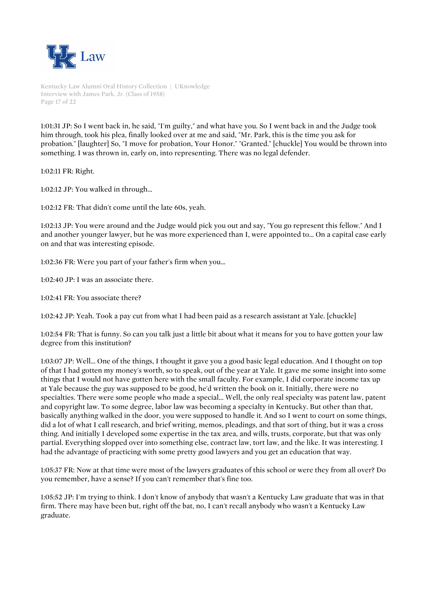

Kentucky Law Alumni Oral History Collection | UKnowledge Interview with James Park, Jr. (Class of 1958) Page 17 of 22

1:01:31 JP: So I went back in, he said, "I'm guilty," and what have you. So I went back in and the Judge took him through, took his plea, finally looked over at me and said, "Mr. Park, this is the time you ask for probation." [laughter] So, "I move for probation, Your Honor." "Granted." [chuckle] You would be thrown into something. I was thrown in, early on, into representing. There was no legal defender.

1:02:11 FR: Right.

1:02:12 JP: You walked in through...

1:02:12 FR: That didn't come until the late 60s, yeah.

1:02:13 JP: You were around and the Judge would pick you out and say, "You go represent this fellow." And I and another younger lawyer, but he was more experienced than I, were appointed to... On a capital case early on and that was interesting episode.

1:02:36 FR: Were you part of your father's firm when you...

1:02:40 JP: I was an associate there.

1:02:41 FR: You associate there?

1:02:42 JP: Yeah. Took a pay cut from what I had been paid as a research assistant at Yale. [chuckle]

1:02:54 FR: That is funny. So can you talk just a little bit about what it means for you to have gotten your law degree from this institution?

1:03:07 JP: Well... One of the things, I thought it gave you a good basic legal education. And I thought on top of that I had gotten my money's worth, so to speak, out of the year at Yale. It gave me some insight into some things that I would not have gotten here with the small faculty. For example, I did corporate income tax up at Yale because the guy was supposed to be good, he'd written the book on it. Initially, there were no specialties. There were some people who made a special... Well, the only real specialty was patent law, patent and copyright law. To some degree, labor law was becoming a specialty in Kentucky. But other than that, basically anything walked in the door, you were supposed to handle it. And so I went to court on some things, did a lot of what I call research, and brief writing, memos, pleadings, and that sort of thing, but it was a cross thing. And initially I developed some expertise in the tax area, and wills, trusts, corporate, but that was only partial. Everything slopped over into something else, contract law, tort law, and the like. It was interesting. I had the advantage of practicing with some pretty good lawyers and you get an education that way.

1:05:37 FR: Now at that time were most of the lawyers graduates of this school or were they from all over? Do you remember, have a sense? If you can't remember that's fine too.

1:05:52 JP: I'm trying to think. I don't know of anybody that wasn't a Kentucky Law graduate that was in that firm. There may have been but, right off the bat, no, I can't recall anybody who wasn't a Kentucky Law graduate.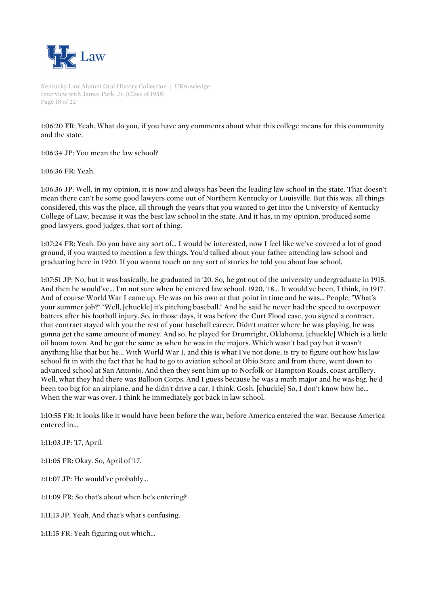

Kentucky Law Alumni Oral History Collection | UKnowledge Interview with James Park, Jr. (Class of 1958) Page 18 of 22

1:06:20 FR: Yeah. What do you, if you have any comments about what this college means for this community and the state.

1:06:34 JP: You mean the law school?

1:06:36 FR: Yeah.

1:06:36 JP: Well, in my opinion, it is now and always has been the leading law school in the state. That doesn't mean there can't be some good lawyers come out of Northern Kentucky or Louisville. But this was, all things considered, this was the place, all through the years that you wanted to get into the University of Kentucky College of Law, because it was the best law school in the state. And it has, in my opinion, produced some good lawyers, good judges, that sort of thing.

1:07:24 FR: Yeah. Do you have any sort of... I would be interested, now I feel like we've covered a lot of good ground, if you wanted to mention a few things. You'd talked about your father attending law school and graduating here in 1920. If you wanna touch on any sort of stories he told you about law school.

1:07:51 JP: No, but it was basically, he graduated in '20. So, he got out of the university undergraduate in 1915. And then he would've... I'm not sure when he entered law school. 1920, '18... It would've been, I think, in 1917. And of course World War I came up. He was on his own at that point in time and he was... People, "What's your summer job?" "Well, [chuckle] it's pitching baseball." And he said he never had the speed to overpower batters after his football injury. So, in those days, it was before the Curt Flood case, you signed a contract, that contract stayed with you the rest of your baseball career. Didn't matter where he was playing, he was gonna get the same amount of money. And so, he played for Drumright, Oklahoma. [chuckle] Which is a little oil boom town. And he got the same as when he was in the majors. Which wasn't bad pay but it wasn't anything like that but he... With World War I, and this is what I've not done, is try to figure out how his law school fit in with the fact that he had to go to aviation school at Ohio State and from there, went down to advanced school at San Antonio. And then they sent him up to Norfolk or Hampton Roads, coast artillery. Well, what they had there was Balloon Corps. And I guess because he was a math major and he was big, he'd been too big for an airplane, and he didn't drive a car. I think. Gosh. [chuckle] So, I don't know how he... When the war was over, I think he immediately got back in law school.

1:10:55 FR: It looks like it would have been before the war, before America entered the war. Because America entered in...

1:11:03 JP: '17, April.

1:11:05 FR: Okay. So, April of '17.

1:11:07 JP: He would've probably...

1:11:09 FR: So that's about when he's entering?

1:11:13 JP: Yeah. And that's what's confusing.

1:11:15 FR: Yeah figuring out which...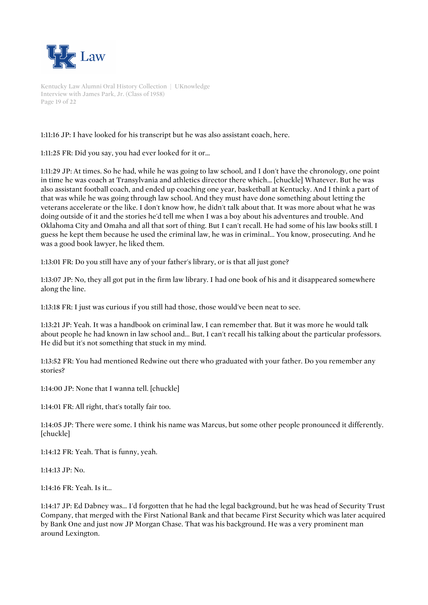

Kentucky Law Alumni Oral History Collection | UKnowledge Interview with James Park, Jr. (Class of 1958) Page 19 of 22

1:11:16 JP: I have looked for his transcript but he was also assistant coach, here.

1:11:25 FR: Did you say, you had ever looked for it or...

1:11:29 JP: At times. So he had, while he was going to law school, and I don't have the chronology, one point in time he was coach at Transylvania and athletics director there which... [chuckle] Whatever. But he was also assistant football coach, and ended up coaching one year, basketball at Kentucky. And I think a part of that was while he was going through law school. And they must have done something about letting the veterans accelerate or the like. I don't know how, he didn't talk about that. It was more about what he was doing outside of it and the stories he'd tell me when I was a boy about his adventures and trouble. And Oklahoma City and Omaha and all that sort of thing. But I can't recall. He had some of his law books still. I guess he kept them because he used the criminal law, he was in criminal... You know, prosecuting. And he was a good book lawyer, he liked them.

1:13:01 FR: Do you still have any of your father's library, or is that all just gone?

1:13:07 JP: No, they all got put in the firm law library. I had one book of his and it disappeared somewhere along the line.

1:13:18 FR: I just was curious if you still had those, those would've been neat to see.

1:13:21 JP: Yeah. It was a handbook on criminal law, I can remember that. But it was more he would talk about people he had known in law school and... But, I can't recall his talking about the particular professors. He did but it's not something that stuck in my mind.

1:13:52 FR: You had mentioned Redwine out there who graduated with your father. Do you remember any stories?

1:14:00 JP: None that I wanna tell. [chuckle]

1:14:01 FR: All right, that's totally fair too.

1:14:05 JP: There were some. I think his name was Marcus, but some other people pronounced it differently. [chuckle]

1:14:12 FR: Yeah. That is funny, yeah.

1:14:13 JP: No.

1:14:16 FR: Yeah. Is it...

1:14:17 JP: Ed Dabney was... I'd forgotten that he had the legal background, but he was head of Security Trust Company, that merged with the First National Bank and that became First Security which was later acquired by Bank One and just now JP Morgan Chase. That was his background. He was a very prominent man around Lexington.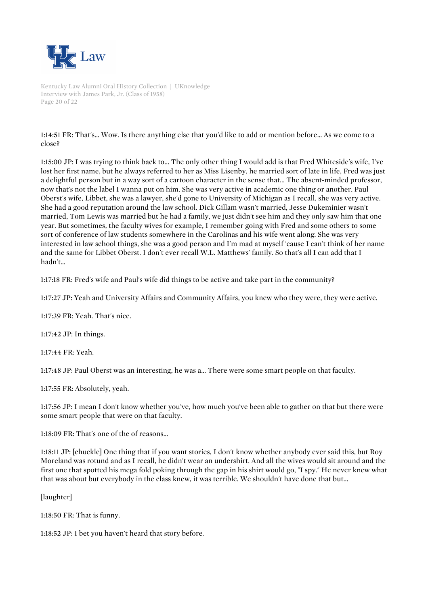

Kentucky Law Alumni Oral History Collection | UKnowledge Interview with James Park, Jr. (Class of 1958) Page 20 of 22

1:14:51 FR: That's... Wow. Is there anything else that you'd like to add or mention before... As we come to a close?

1:15:00 JP: I was trying to think back to... The only other thing I would add is that Fred Whiteside's wife, I've lost her first name, but he always referred to her as Miss Lisenby, he married sort of late in life, Fred was just a delightful person but in a way sort of a cartoon character in the sense that... The absent-minded professor, now that's not the label I wanna put on him. She was very active in academic one thing or another. Paul Oberst's wife, Libbet, she was a lawyer, she'd gone to University of Michigan as I recall, she was very active. She had a good reputation around the law school. Dick Gillam wasn't married, Jesse Dukeminier wasn't married, Tom Lewis was married but he had a family, we just didn't see him and they only saw him that one year. But sometimes, the faculty wives for example, I remember going with Fred and some others to some sort of conference of law students somewhere in the Carolinas and his wife went along. She was very interested in law school things, she was a good person and I'm mad at myself 'cause I can't think of her name and the same for Libbet Oberst. I don't ever recall W.L. Matthews' family. So that's all I can add that I hadn't...

1:17:18 FR: Fred's wife and Paul's wife did things to be active and take part in the community?

1:17:27 JP: Yeah and University Affairs and Community Affairs, you knew who they were, they were active.

1:17:39 FR: Yeah. That's nice.

1:17:42 JP: In things.

1:17:44 FR: Yeah.

1:17:48 JP: Paul Oberst was an interesting, he was a... There were some smart people on that faculty.

1:17:55 FR: Absolutely, yeah.

1:17:56 JP: I mean I don't know whether you've, how much you've been able to gather on that but there were some smart people that were on that faculty.

1:18:09 FR: That's one of the of reasons...

1:18:11 JP: [chuckle] One thing that if you want stories, I don't know whether anybody ever said this, but Roy Moreland was rotund and as I recall, he didn't wear an undershirt. And all the wives would sit around and the first one that spotted his mega fold poking through the gap in his shirt would go, "I spy." He never knew what that was about but everybody in the class knew, it was terrible. We shouldn't have done that but...

[laughter]

1:18:50 FR: That is funny.

1:18:52 JP: I bet you haven't heard that story before.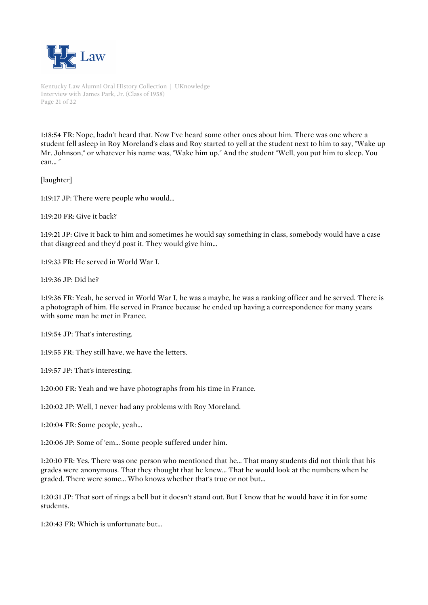

Kentucky Law Alumni Oral History Collection | UKnowledge Interview with James Park, Jr. (Class of 1958) Page 21 of 22

1:18:54 FR: Nope, hadn't heard that. Now I've heard some other ones about him. There was one where a student fell asleep in Roy Moreland's class and Roy started to yell at the student next to him to say, "Wake up Mr. Johnson," or whatever his name was, "Wake him up." And the student "Well, you put him to sleep. You can... "

[laughter]

1:19:17 JP: There were people who would...

1:19:20 FR: Give it back?

1:19:21 JP: Give it back to him and sometimes he would say something in class, somebody would have a case that disagreed and they'd post it. They would give him...

1:19:33 FR: He served in World War I.

1:19:36 JP: Did he?

1:19:36 FR: Yeah, he served in World War I, he was a maybe, he was a ranking officer and he served. There is a photograph of him. He served in France because he ended up having a correspondence for many years with some man he met in France.

1:19:54 JP: That's interesting.

1:19:55 FR: They still have, we have the letters.

1:19:57 JP: That's interesting.

1:20:00 FR: Yeah and we have photographs from his time in France.

1:20:02 JP: Well, I never had any problems with Roy Moreland.

1:20:04 FR: Some people, yeah...

1:20:06 JP: Some of 'em... Some people suffered under him.

1:20:10 FR: Yes. There was one person who mentioned that he... That many students did not think that his grades were anonymous. That they thought that he knew... That he would look at the numbers when he graded. There were some... Who knows whether that's true or not but...

1:20:31 JP: That sort of rings a bell but it doesn't stand out. But I know that he would have it in for some students.

1:20:43 FR: Which is unfortunate but...